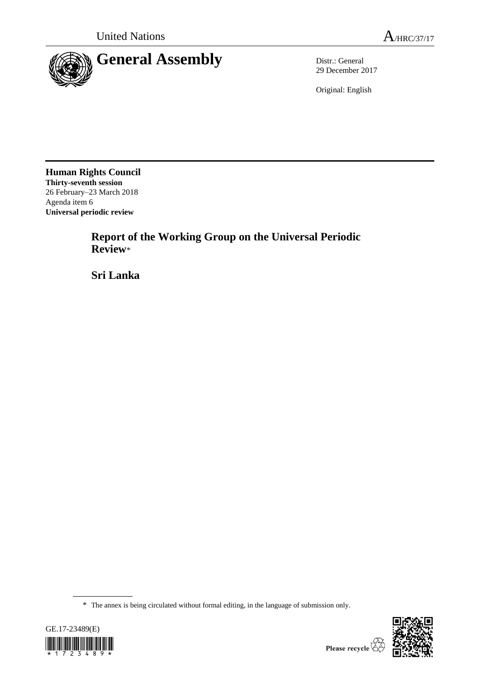

29 December 2017

Original: English

**Human Rights Council Thirty-seventh session** 26 February–23 March 2018 Agenda item 6 **Universal periodic review**

> **Report of the Working Group on the Universal Periodic Review**\*

**Sri Lanka**

<sup>\*</sup> The annex is being circulated without formal editing, in the language of submission only.



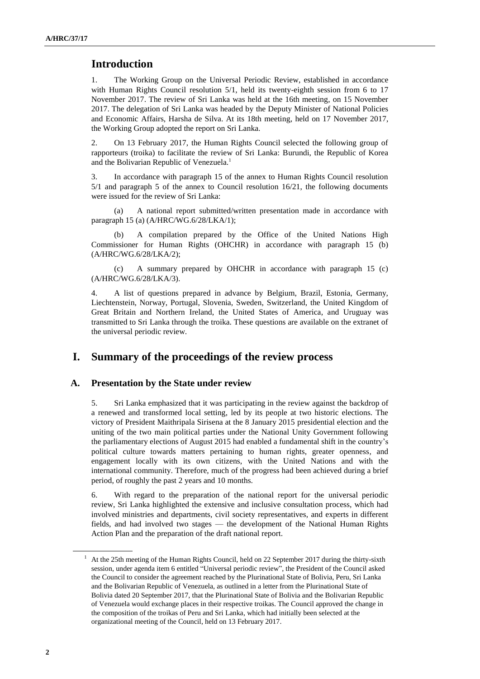# **Introduction**

1. The Working Group on the Universal Periodic Review, established in accordance with Human Rights Council resolution 5/1, held its twenty-eighth session from 6 to 17 November 2017. The review of Sri Lanka was held at the 16th meeting, on 15 November 2017. The delegation of Sri Lanka was headed by the Deputy Minister of National Policies and Economic Affairs, Harsha de Silva. At its 18th meeting, held on 17 November 2017, the Working Group adopted the report on Sri Lanka.

2. On 13 February 2017, the Human Rights Council selected the following group of rapporteurs (troika) to facilitate the review of Sri Lanka: Burundi, the Republic of Korea and the Bolivarian Republic of Venezuela.<sup>1</sup>

3. In accordance with paragraph 15 of the annex to Human Rights Council resolution 5/1 and paragraph 5 of the annex to Council resolution 16/21, the following documents were issued for the review of Sri Lanka:

(a) A national report submitted/written presentation made in accordance with paragraph 15 (a) (A/HRC/WG.6/28/LKA/1);

A compilation prepared by the Office of the United Nations High Commissioner for Human Rights (OHCHR) in accordance with paragraph 15 (b) (A/HRC/WG.6/28/LKA/2);

(c) A summary prepared by OHCHR in accordance with paragraph 15 (c) (A/HRC/WG.6/28/LKA/3).

4. A list of questions prepared in advance by Belgium, Brazil, Estonia, Germany, Liechtenstein, Norway, Portugal, Slovenia, Sweden, Switzerland, the United Kingdom of Great Britain and Northern Ireland, the United States of America, and Uruguay was transmitted to Sri Lanka through the troika. These questions are available on the extranet of the universal periodic review.

## **I. Summary of the proceedings of the review process**

#### **A. Presentation by the State under review**

5. Sri Lanka emphasized that it was participating in the review against the backdrop of a renewed and transformed local setting, led by its people at two historic elections. The victory of President Maithripala Sirisena at the 8 January 2015 presidential election and the uniting of the two main political parties under the National Unity Government following the parliamentary elections of August 2015 had enabled a fundamental shift in the country's political culture towards matters pertaining to human rights, greater openness, and engagement locally with its own citizens, with the United Nations and with the international community. Therefore, much of the progress had been achieved during a brief period, of roughly the past 2 years and 10 months.

6. With regard to the preparation of the national report for the universal periodic review, Sri Lanka highlighted the extensive and inclusive consultation process, which had involved ministries and departments, civil society representatives, and experts in different fields, and had involved two stages — the development of the National Human Rights Action Plan and the preparation of the draft national report.

<sup>1</sup> At the 25th meeting of the Human Rights Council, held on 22 September 2017 during the thirty-sixth session, under agenda item 6 entitled "Universal periodic review", the President of the Council asked the Council to consider the agreement reached by the Plurinational State of Bolivia, Peru, Sri Lanka and the Bolivarian Republic of Venezuela, as outlined in a letter from the Plurinational State of Bolivia dated 20 September 2017, that the Plurinational State of Bolivia and the Bolivarian Republic of Venezuela would exchange places in their respective troikas. The Council approved the change in the composition of the troikas of Peru and Sri Lanka, which had initially been selected at the organizational meeting of the Council, held on 13 February 2017.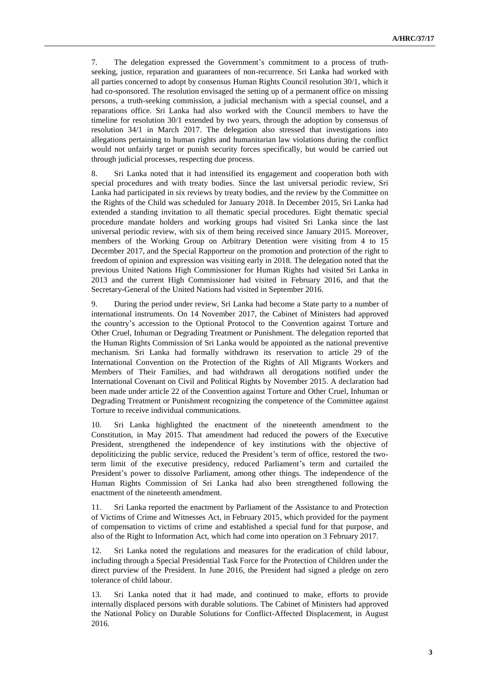7. The delegation expressed the Government's commitment to a process of truthseeking, justice, reparation and guarantees of non-recurrence. Sri Lanka had worked with all parties concerned to adopt by consensus Human Rights Council resolution 30/1, which it had co-sponsored. The resolution envisaged the setting up of a permanent office on missing persons, a truth-seeking commission, a judicial mechanism with a special counsel, and a reparations office. Sri Lanka had also worked with the Council members to have the timeline for resolution 30/1 extended by two years, through the adoption by consensus of resolution 34/1 in March 2017. The delegation also stressed that investigations into allegations pertaining to human rights and humanitarian law violations during the conflict would not unfairly target or punish security forces specifically, but would be carried out through judicial processes, respecting due process.

8. Sri Lanka noted that it had intensified its engagement and cooperation both with special procedures and with treaty bodies. Since the last universal periodic review, Sri Lanka had participated in six reviews by treaty bodies, and the review by the Committee on the Rights of the Child was scheduled for January 2018. In December 2015, Sri Lanka had extended a standing invitation to all thematic special procedures. Eight thematic special procedure mandate holders and working groups had visited Sri Lanka since the last universal periodic review, with six of them being received since January 2015. Moreover, members of the Working Group on Arbitrary Detention were visiting from 4 to 15 December 2017, and the Special Rapporteur on the promotion and protection of the right to freedom of opinion and expression was visiting early in 2018. The delegation noted that the previous United Nations High Commissioner for Human Rights had visited Sri Lanka in 2013 and the current High Commissioner had visited in February 2016, and that the Secretary-General of the United Nations had visited in September 2016.

9. During the period under review, Sri Lanka had become a State party to a number of international instruments. On 14 November 2017, the Cabinet of Ministers had approved the country's accession to the Optional Protocol to the Convention against Torture and Other Cruel, Inhuman or Degrading Treatment or Punishment. The delegation reported that the Human Rights Commission of Sri Lanka would be appointed as the national preventive mechanism. Sri Lanka had formally withdrawn its reservation to article 29 of the International Convention on the Protection of the Rights of All Migrants Workers and Members of Their Families, and had withdrawn all derogations notified under the International Covenant on Civil and Political Rights by November 2015. A declaration had been made under article 22 of the Convention against Torture and Other Cruel, Inhuman or Degrading Treatment or Punishment recognizing the competence of the Committee against Torture to receive individual communications.

10. Sri Lanka highlighted the enactment of the nineteenth amendment to the Constitution, in May 2015. That amendment had reduced the powers of the Executive President, strengthened the independence of key institutions with the objective of depoliticizing the public service, reduced the President's term of office, restored the twoterm limit of the executive presidency, reduced Parliament's term and curtailed the President's power to dissolve Parliament, among other things. The independence of the Human Rights Commission of Sri Lanka had also been strengthened following the enactment of the nineteenth amendment.

11. Sri Lanka reported the enactment by Parliament of the Assistance to and Protection of Victims of Crime and Witnesses Act, in February 2015, which provided for the payment of compensation to victims of crime and established a special fund for that purpose, and also of the Right to Information Act, which had come into operation on 3 February 2017.

12. Sri Lanka noted the regulations and measures for the eradication of child labour, including through a Special Presidential Task Force for the Protection of Children under the direct purview of the President. In June 2016, the President had signed a pledge on zero tolerance of child labour.

Sri Lanka noted that it had made, and continued to make, efforts to provide internally displaced persons with durable solutions. The Cabinet of Ministers had approved the National Policy on Durable Solutions for Conflict-Affected Displacement, in August 2016.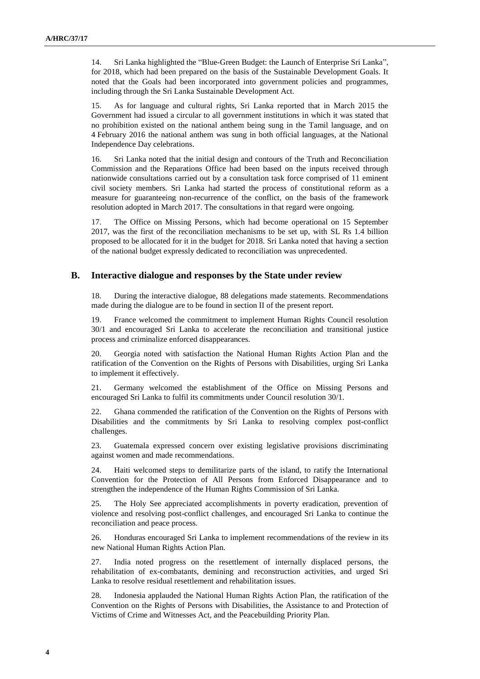14. Sri Lanka highlighted the "Blue-Green Budget: the Launch of Enterprise Sri Lanka", for 2018, which had been prepared on the basis of the Sustainable Development Goals. It noted that the Goals had been incorporated into government policies and programmes, including through the Sri Lanka Sustainable Development Act.

15. As for language and cultural rights, Sri Lanka reported that in March 2015 the Government had issued a circular to all government institutions in which it was stated that no prohibition existed on the national anthem being sung in the Tamil language, and on 4 February 2016 the national anthem was sung in both official languages, at the National Independence Day celebrations.

16. Sri Lanka noted that the initial design and contours of the Truth and Reconciliation Commission and the Reparations Office had been based on the inputs received through nationwide consultations carried out by a consultation task force comprised of 11 eminent civil society members. Sri Lanka had started the process of constitutional reform as a measure for guaranteeing non-recurrence of the conflict, on the basis of the framework resolution adopted in March 2017. The consultations in that regard were ongoing.

17. The Office on Missing Persons, which had become operational on 15 September 2017, was the first of the reconciliation mechanisms to be set up, with SL Rs 1.4 billion proposed to be allocated for it in the budget for 2018. Sri Lanka noted that having a section of the national budget expressly dedicated to reconciliation was unprecedented.

#### **B. Interactive dialogue and responses by the State under review**

18. During the interactive dialogue, 88 delegations made statements. Recommendations made during the dialogue are to be found in section II of the present report.

19. France welcomed the commitment to implement Human Rights Council resolution 30/1 and encouraged Sri Lanka to accelerate the reconciliation and transitional justice process and criminalize enforced disappearances.

20. Georgia noted with satisfaction the National Human Rights Action Plan and the ratification of the Convention on the Rights of Persons with Disabilities, urging Sri Lanka to implement it effectively.

21. Germany welcomed the establishment of the Office on Missing Persons and encouraged Sri Lanka to fulfil its commitments under Council resolution 30/1.

22. Ghana commended the ratification of the Convention on the Rights of Persons with Disabilities and the commitments by Sri Lanka to resolving complex post-conflict challenges.

23. Guatemala expressed concern over existing legislative provisions discriminating against women and made recommendations.

24. Haiti welcomed steps to demilitarize parts of the island, to ratify the International Convention for the Protection of All Persons from Enforced Disappearance and to strengthen the independence of the Human Rights Commission of Sri Lanka.

25. The Holy See appreciated accomplishments in poverty eradication, prevention of violence and resolving post-conflict challenges, and encouraged Sri Lanka to continue the reconciliation and peace process.

26. Honduras encouraged Sri Lanka to implement recommendations of the review in its new National Human Rights Action Plan.

27. India noted progress on the resettlement of internally displaced persons, the rehabilitation of ex-combatants, demining and reconstruction activities, and urged Sri Lanka to resolve residual resettlement and rehabilitation issues.

28. Indonesia applauded the National Human Rights Action Plan, the ratification of the Convention on the Rights of Persons with Disabilities, the Assistance to and Protection of Victims of Crime and Witnesses Act, and the Peacebuilding Priority Plan.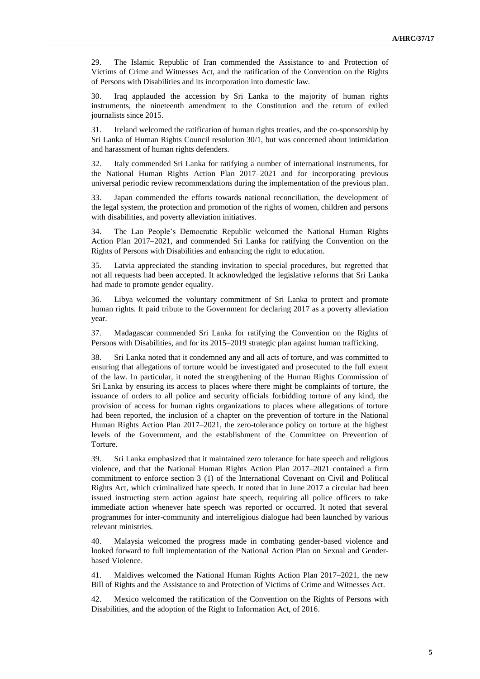29. The Islamic Republic of Iran commended the Assistance to and Protection of Victims of Crime and Witnesses Act, and the ratification of the Convention on the Rights of Persons with Disabilities and its incorporation into domestic law.

30. Iraq applauded the accession by Sri Lanka to the majority of human rights instruments, the nineteenth amendment to the Constitution and the return of exiled journalists since 2015.

31. Ireland welcomed the ratification of human rights treaties, and the co-sponsorship by Sri Lanka of Human Rights Council resolution 30/1, but was concerned about intimidation and harassment of human rights defenders.

32. Italy commended Sri Lanka for ratifying a number of international instruments, for the National Human Rights Action Plan 2017–2021 and for incorporating previous universal periodic review recommendations during the implementation of the previous plan.

33. Japan commended the efforts towards national reconciliation, the development of the legal system, the protection and promotion of the rights of women, children and persons with disabilities, and poverty alleviation initiatives.

34. The Lao People's Democratic Republic welcomed the National Human Rights Action Plan 2017–2021, and commended Sri Lanka for ratifying the Convention on the Rights of Persons with Disabilities and enhancing the right to education.

35. Latvia appreciated the standing invitation to special procedures, but regretted that not all requests had been accepted. It acknowledged the legislative reforms that Sri Lanka had made to promote gender equality.

36. Libya welcomed the voluntary commitment of Sri Lanka to protect and promote human rights. It paid tribute to the Government for declaring 2017 as a poverty alleviation year.

37. Madagascar commended Sri Lanka for ratifying the Convention on the Rights of Persons with Disabilities, and for its 2015–2019 strategic plan against human trafficking.

38. Sri Lanka noted that it condemned any and all acts of torture, and was committed to ensuring that allegations of torture would be investigated and prosecuted to the full extent of the law. In particular, it noted the strengthening of the Human Rights Commission of Sri Lanka by ensuring its access to places where there might be complaints of torture, the issuance of orders to all police and security officials forbidding torture of any kind, the provision of access for human rights organizations to places where allegations of torture had been reported, the inclusion of a chapter on the prevention of torture in the National Human Rights Action Plan 2017–2021, the zero-tolerance policy on torture at the highest levels of the Government, and the establishment of the Committee on Prevention of Torture.

39. Sri Lanka emphasized that it maintained zero tolerance for hate speech and religious violence, and that the National Human Rights Action Plan 2017–2021 contained a firm commitment to enforce section 3 (1) of the International Covenant on Civil and Political Rights Act, which criminalized hate speech. It noted that in June 2017 a circular had been issued instructing stern action against hate speech, requiring all police officers to take immediate action whenever hate speech was reported or occurred. It noted that several programmes for inter-community and interreligious dialogue had been launched by various relevant ministries.

40. Malaysia welcomed the progress made in combating gender-based violence and looked forward to full implementation of the National Action Plan on Sexual and Genderbased Violence.

41. Maldives welcomed the National Human Rights Action Plan 2017–2021, the new Bill of Rights and the Assistance to and Protection of Victims of Crime and Witnesses Act.

42. Mexico welcomed the ratification of the Convention on the Rights of Persons with Disabilities, and the adoption of the Right to Information Act, of 2016.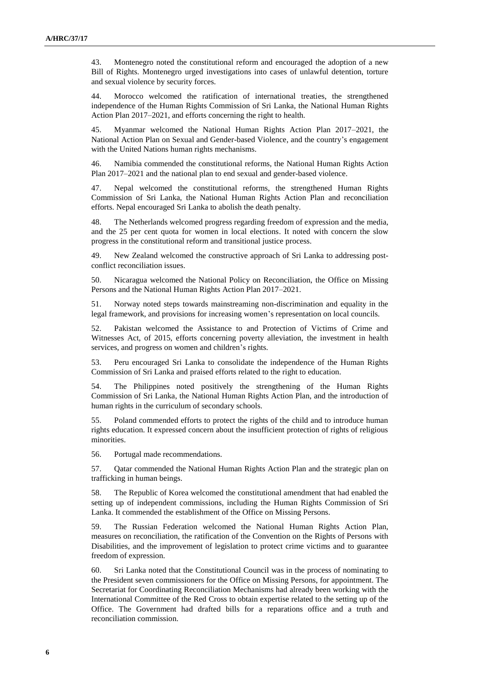43. Montenegro noted the constitutional reform and encouraged the adoption of a new Bill of Rights. Montenegro urged investigations into cases of unlawful detention, torture and sexual violence by security forces.

44. Morocco welcomed the ratification of international treaties, the strengthened independence of the Human Rights Commission of Sri Lanka, the National Human Rights Action Plan 2017–2021, and efforts concerning the right to health.

45. Myanmar welcomed the National Human Rights Action Plan 2017–2021, the National Action Plan on Sexual and Gender-based Violence, and the country's engagement with the United Nations human rights mechanisms.

46. Namibia commended the constitutional reforms, the National Human Rights Action Plan 2017–2021 and the national plan to end sexual and gender-based violence.

47. Nepal welcomed the constitutional reforms, the strengthened Human Rights Commission of Sri Lanka, the National Human Rights Action Plan and reconciliation efforts. Nepal encouraged Sri Lanka to abolish the death penalty.

48. The Netherlands welcomed progress regarding freedom of expression and the media, and the 25 per cent quota for women in local elections. It noted with concern the slow progress in the constitutional reform and transitional justice process.

49. New Zealand welcomed the constructive approach of Sri Lanka to addressing postconflict reconciliation issues.

50. Nicaragua welcomed the National Policy on Reconciliation, the Office on Missing Persons and the National Human Rights Action Plan 2017–2021.

51. Norway noted steps towards mainstreaming non-discrimination and equality in the legal framework, and provisions for increasing women's representation on local councils.

52. Pakistan welcomed the Assistance to and Protection of Victims of Crime and Witnesses Act, of 2015, efforts concerning poverty alleviation, the investment in health services, and progress on women and children's rights.

53. Peru encouraged Sri Lanka to consolidate the independence of the Human Rights Commission of Sri Lanka and praised efforts related to the right to education.

54. The Philippines noted positively the strengthening of the Human Rights Commission of Sri Lanka, the National Human Rights Action Plan, and the introduction of human rights in the curriculum of secondary schools.

55. Poland commended efforts to protect the rights of the child and to introduce human rights education. It expressed concern about the insufficient protection of rights of religious minorities.

56. Portugal made recommendations.

57. Qatar commended the National Human Rights Action Plan and the strategic plan on trafficking in human beings.

58. The Republic of Korea welcomed the constitutional amendment that had enabled the setting up of independent commissions, including the Human Rights Commission of Sri Lanka. It commended the establishment of the Office on Missing Persons.

59. The Russian Federation welcomed the National Human Rights Action Plan, measures on reconciliation, the ratification of the Convention on the Rights of Persons with Disabilities, and the improvement of legislation to protect crime victims and to guarantee freedom of expression.

60. Sri Lanka noted that the Constitutional Council was in the process of nominating to the President seven commissioners for the Office on Missing Persons, for appointment. The Secretariat for Coordinating Reconciliation Mechanisms had already been working with the International Committee of the Red Cross to obtain expertise related to the setting up of the Office. The Government had drafted bills for a reparations office and a truth and reconciliation commission.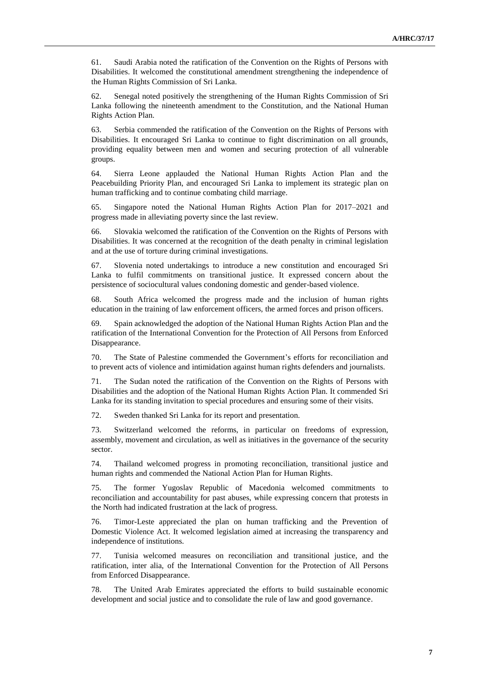61. Saudi Arabia noted the ratification of the Convention on the Rights of Persons with Disabilities. It welcomed the constitutional amendment strengthening the independence of the Human Rights Commission of Sri Lanka.

62. Senegal noted positively the strengthening of the Human Rights Commission of Sri Lanka following the nineteenth amendment to the Constitution, and the National Human Rights Action Plan.

63. Serbia commended the ratification of the Convention on the Rights of Persons with Disabilities. It encouraged Sri Lanka to continue to fight discrimination on all grounds, providing equality between men and women and securing protection of all vulnerable groups.

64. Sierra Leone applauded the National Human Rights Action Plan and the Peacebuilding Priority Plan, and encouraged Sri Lanka to implement its strategic plan on human trafficking and to continue combating child marriage.

65. Singapore noted the National Human Rights Action Plan for 2017–2021 and progress made in alleviating poverty since the last review.

66. Slovakia welcomed the ratification of the Convention on the Rights of Persons with Disabilities. It was concerned at the recognition of the death penalty in criminal legislation and at the use of torture during criminal investigations.

67. Slovenia noted undertakings to introduce a new constitution and encouraged Sri Lanka to fulfil commitments on transitional justice. It expressed concern about the persistence of sociocultural values condoning domestic and gender-based violence.

68. South Africa welcomed the progress made and the inclusion of human rights education in the training of law enforcement officers, the armed forces and prison officers.

69. Spain acknowledged the adoption of the National Human Rights Action Plan and the ratification of the International Convention for the Protection of All Persons from Enforced Disappearance.

70. The State of Palestine commended the Government's efforts for reconciliation and to prevent acts of violence and intimidation against human rights defenders and journalists.

71. The Sudan noted the ratification of the Convention on the Rights of Persons with Disabilities and the adoption of the National Human Rights Action Plan. It commended Sri Lanka for its standing invitation to special procedures and ensuring some of their visits.

72. Sweden thanked Sri Lanka for its report and presentation.

73. Switzerland welcomed the reforms, in particular on freedoms of expression, assembly, movement and circulation, as well as initiatives in the governance of the security sector.

74. Thailand welcomed progress in promoting reconciliation, transitional justice and human rights and commended the National Action Plan for Human Rights.

75. The former Yugoslav Republic of Macedonia welcomed commitments to reconciliation and accountability for past abuses, while expressing concern that protests in the North had indicated frustration at the lack of progress.

76. Timor-Leste appreciated the plan on human trafficking and the Prevention of Domestic Violence Act. It welcomed legislation aimed at increasing the transparency and independence of institutions.

77. Tunisia welcomed measures on reconciliation and transitional justice, and the ratification, inter alia, of the International Convention for the Protection of All Persons from Enforced Disappearance.

78. The United Arab Emirates appreciated the efforts to build sustainable economic development and social justice and to consolidate the rule of law and good governance.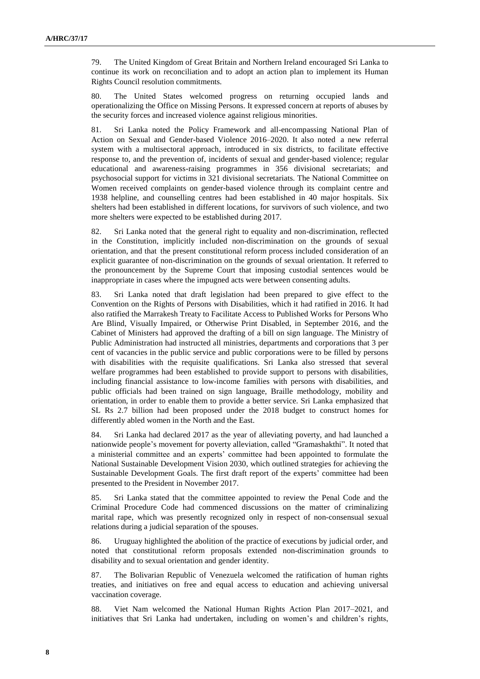79. The United Kingdom of Great Britain and Northern Ireland encouraged Sri Lanka to continue its work on reconciliation and to adopt an action plan to implement its Human Rights Council resolution commitments.

80. The United States welcomed progress on returning occupied lands and operationalizing the Office on Missing Persons. It expressed concern at reports of abuses by the security forces and increased violence against religious minorities.

81. Sri Lanka noted the Policy Framework and all-encompassing National Plan of Action on Sexual and Gender-based Violence 2016–2020. It also noted a new referral system with a multisectoral approach, introduced in six districts, to facilitate effective response to, and the prevention of, incidents of sexual and gender-based violence; regular educational and awareness-raising programmes in 356 divisional secretariats; and psychosocial support for victims in 321 divisional secretariats. The National Committee on Women received complaints on gender-based violence through its complaint centre and 1938 helpline, and counselling centres had been established in 40 major hospitals. Six shelters had been established in different locations, for survivors of such violence, and two more shelters were expected to be established during 2017.

82. Sri Lanka noted that the general right to equality and non-discrimination, reflected in the Constitution, implicitly included non-discrimination on the grounds of sexual orientation, and that the present constitutional reform process included consideration of an explicit guarantee of non-discrimination on the grounds of sexual orientation. It referred to the pronouncement by the Supreme Court that imposing custodial sentences would be inappropriate in cases where the impugned acts were between consenting adults.

83. Sri Lanka noted that draft legislation had been prepared to give effect to the Convention on the Rights of Persons with Disabilities, which it had ratified in 2016. It had also ratified the Marrakesh Treaty to Facilitate Access to Published Works for Persons Who Are Blind, Visually Impaired, or Otherwise Print Disabled, in September 2016, and the Cabinet of Ministers had approved the drafting of a bill on sign language. The Ministry of Public Administration had instructed all ministries, departments and corporations that 3 per cent of vacancies in the public service and public corporations were to be filled by persons with disabilities with the requisite qualifications. Sri Lanka also stressed that several welfare programmes had been established to provide support to persons with disabilities, including financial assistance to low-income families with persons with disabilities, and public officials had been trained on sign language, Braille methodology, mobility and orientation, in order to enable them to provide a better service. Sri Lanka emphasized that SL Rs 2.7 billion had been proposed under the 2018 budget to construct homes for differently abled women in the North and the East.

84. Sri Lanka had declared 2017 as the year of alleviating poverty, and had launched a nationwide people's movement for poverty alleviation, called "Gramashakthi". It noted that a ministerial committee and an experts' committee had been appointed to formulate the National Sustainable Development Vision 2030, which outlined strategies for achieving the Sustainable Development Goals. The first draft report of the experts' committee had been presented to the President in November 2017.

85. Sri Lanka stated that the committee appointed to review the Penal Code and the Criminal Procedure Code had commenced discussions on the matter of criminalizing marital rape, which was presently recognized only in respect of non-consensual sexual relations during a judicial separation of the spouses.

86. Uruguay highlighted the abolition of the practice of executions by judicial order, and noted that constitutional reform proposals extended non-discrimination grounds to disability and to sexual orientation and gender identity.

87. The Bolivarian Republic of Venezuela welcomed the ratification of human rights treaties, and initiatives on free and equal access to education and achieving universal vaccination coverage.

88. Viet Nam welcomed the National Human Rights Action Plan 2017–2021, and initiatives that Sri Lanka had undertaken, including on women's and children's rights,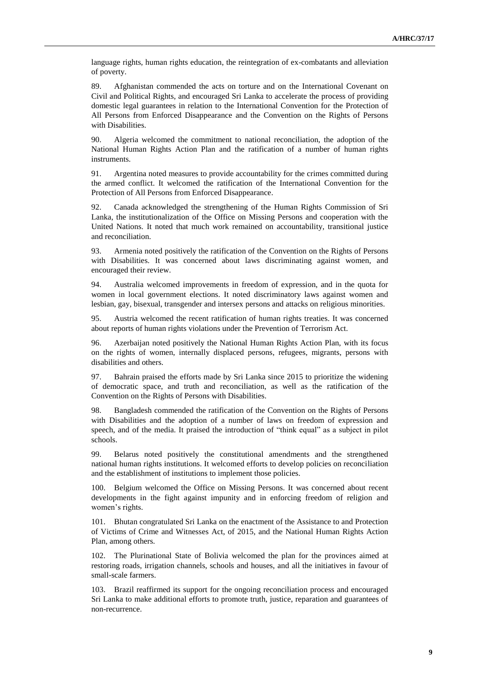language rights, human rights education, the reintegration of ex-combatants and alleviation of poverty.

89. Afghanistan commended the acts on torture and on the International Covenant on Civil and Political Rights, and encouraged Sri Lanka to accelerate the process of providing domestic legal guarantees in relation to the International Convention for the Protection of All Persons from Enforced Disappearance and the Convention on the Rights of Persons with Disabilities.

90. Algeria welcomed the commitment to national reconciliation, the adoption of the National Human Rights Action Plan and the ratification of a number of human rights instruments.

91. Argentina noted measures to provide accountability for the crimes committed during the armed conflict. It welcomed the ratification of the International Convention for the Protection of All Persons from Enforced Disappearance.

92. Canada acknowledged the strengthening of the Human Rights Commission of Sri Lanka, the institutionalization of the Office on Missing Persons and cooperation with the United Nations. It noted that much work remained on accountability, transitional justice and reconciliation.

93. Armenia noted positively the ratification of the Convention on the Rights of Persons with Disabilities. It was concerned about laws discriminating against women, and encouraged their review.

94. Australia welcomed improvements in freedom of expression, and in the quota for women in local government elections. It noted discriminatory laws against women and lesbian, gay, bisexual, transgender and intersex persons and attacks on religious minorities.

95. Austria welcomed the recent ratification of human rights treaties. It was concerned about reports of human rights violations under the Prevention of Terrorism Act.

96. Azerbaijan noted positively the National Human Rights Action Plan, with its focus on the rights of women, internally displaced persons, refugees, migrants, persons with disabilities and others.

97. Bahrain praised the efforts made by Sri Lanka since 2015 to prioritize the widening of democratic space, and truth and reconciliation, as well as the ratification of the Convention on the Rights of Persons with Disabilities.

98. Bangladesh commended the ratification of the Convention on the Rights of Persons with Disabilities and the adoption of a number of laws on freedom of expression and speech, and of the media. It praised the introduction of "think equal" as a subject in pilot schools.

99. Belarus noted positively the constitutional amendments and the strengthened national human rights institutions. It welcomed efforts to develop policies on reconciliation and the establishment of institutions to implement those policies.

100. Belgium welcomed the Office on Missing Persons. It was concerned about recent developments in the fight against impunity and in enforcing freedom of religion and women's rights.

101. Bhutan congratulated Sri Lanka on the enactment of the Assistance to and Protection of Victims of Crime and Witnesses Act, of 2015, and the National Human Rights Action Plan, among others.

102. The Plurinational State of Bolivia welcomed the plan for the provinces aimed at restoring roads, irrigation channels, schools and houses, and all the initiatives in favour of small-scale farmers.

103. Brazil reaffirmed its support for the ongoing reconciliation process and encouraged Sri Lanka to make additional efforts to promote truth, justice, reparation and guarantees of non-recurrence.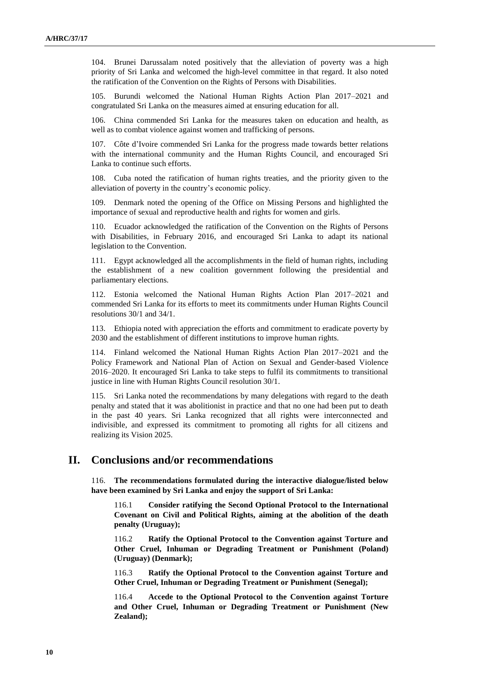104. Brunei Darussalam noted positively that the alleviation of poverty was a high priority of Sri Lanka and welcomed the high-level committee in that regard. It also noted the ratification of the Convention on the Rights of Persons with Disabilities.

105. Burundi welcomed the National Human Rights Action Plan 2017–2021 and congratulated Sri Lanka on the measures aimed at ensuring education for all.

106. China commended Sri Lanka for the measures taken on education and health, as well as to combat violence against women and trafficking of persons.

107. Côte d'Ivoire commended Sri Lanka for the progress made towards better relations with the international community and the Human Rights Council, and encouraged Sri Lanka to continue such efforts.

108. Cuba noted the ratification of human rights treaties, and the priority given to the alleviation of poverty in the country's economic policy.

109. Denmark noted the opening of the Office on Missing Persons and highlighted the importance of sexual and reproductive health and rights for women and girls.

110. Ecuador acknowledged the ratification of the Convention on the Rights of Persons with Disabilities, in February 2016, and encouraged Sri Lanka to adapt its national legislation to the Convention.

111. Egypt acknowledged all the accomplishments in the field of human rights, including the establishment of a new coalition government following the presidential and parliamentary elections.

112. Estonia welcomed the National Human Rights Action Plan 2017–2021 and commended Sri Lanka for its efforts to meet its commitments under Human Rights Council resolutions 30/1 and 34/1.

113. Ethiopia noted with appreciation the efforts and commitment to eradicate poverty by 2030 and the establishment of different institutions to improve human rights.

114. Finland welcomed the National Human Rights Action Plan 2017–2021 and the Policy Framework and National Plan of Action on Sexual and Gender-based Violence 2016–2020. It encouraged Sri Lanka to take steps to fulfil its commitments to transitional justice in line with Human Rights Council resolution 30/1.

115. Sri Lanka noted the recommendations by many delegations with regard to the death penalty and stated that it was abolitionist in practice and that no one had been put to death in the past 40 years. Sri Lanka recognized that all rights were interconnected and indivisible, and expressed its commitment to promoting all rights for all citizens and realizing its Vision 2025.

### **II. Conclusions and/or recommendations**

116. **The recommendations formulated during the interactive dialogue/listed below have been examined by Sri Lanka and enjoy the support of Sri Lanka:**

116.1 **Consider ratifying the Second Optional Protocol to the International Covenant on Civil and Political Rights, aiming at the abolition of the death penalty (Uruguay);**

116.2 **Ratify the Optional Protocol to the Convention against Torture and Other Cruel, Inhuman or Degrading Treatment or Punishment (Poland) (Uruguay) (Denmark);**

116.3 **Ratify the Optional Protocol to the Convention against Torture and Other Cruel, Inhuman or Degrading Treatment or Punishment (Senegal);**

116.4 **Accede to the Optional Protocol to the [Convention against Torture](http://www.ohchr.org/EN/ProfessionalInterest/Pages/CAT.aspx)  [and Other Cruel, Inhuman or Degrading Treatment or Punishment](http://www.ohchr.org/EN/ProfessionalInterest/Pages/CAT.aspx) (New Zealand);**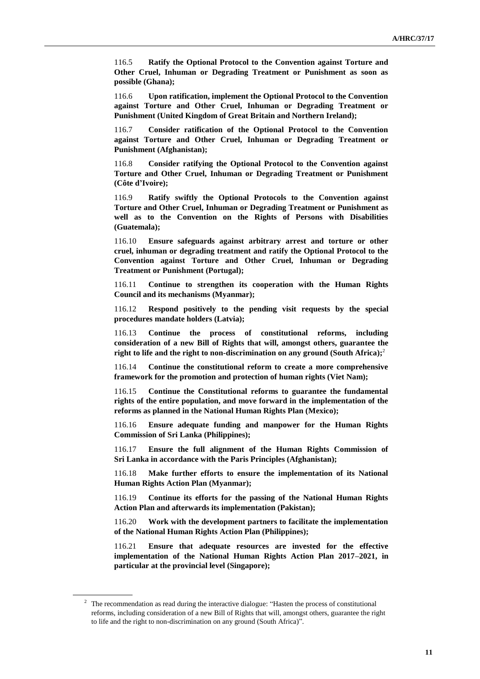116.5 **Ratify the Optional Protocol to the Convention against Torture and Other Cruel, Inhuman or Degrading Treatment or Punishment as soon as possible (Ghana);**

116.6 **Upon ratification, implement the Optional Protocol to the Convention against Torture and Other Cruel, Inhuman or Degrading Treatment or Punishment (United Kingdom of Great Britain and Northern Ireland);**

116.7 **Consider ratification of the Optional Protocol to the Convention against Torture and Other Cruel, Inhuman or Degrading Treatment or Punishment (Afghanistan);**

116.8 **Consider ratifying the Optional Protocol to the Convention against Torture and Other Cruel, Inhuman or Degrading Treatment or Punishment (Côte d'Ivoire);**

116.9 **Ratify swiftly the Optional Protocols to the Convention against Torture and Other Cruel, Inhuman or Degrading Treatment or Punishment as well as to the Convention on the Rights of Persons with Disabilities (Guatemala);**

116.10 **Ensure safeguards against arbitrary arrest and torture or other cruel, inhuman or degrading treatment and ratify the Optional Protocol to the Convention against Torture and Other Cruel, Inhuman or Degrading Treatment or Punishment (Portugal);**

116.11 **Continue to strengthen its cooperation with the Human Rights Council and its mechanisms (Myanmar);**

116.12 **Respond positively to the pending visit requests by the special procedures mandate holders (Latvia);**

116.13 **Continue the process of constitutional reforms, including consideration of a new Bill of Rights that will, amongst others, guarantee the right to life and the right to non-discrimination on any ground (South Africa);** 2

116.14 **Continue the constitutional reform to create a more comprehensive framework for the promotion and protection of human rights (Viet Nam);**

116.15 **Continue the Constitutional reforms to guarantee the fundamental rights of the entire population, and move forward in the implementation of the reforms as planned in the National Human Rights Plan (Mexico);**

116.16 **Ensure adequate funding and manpower for the Human Rights Commission of Sri Lanka (Philippines);**

116.17 **Ensure the full alignment of the Human Rights Commission of Sri Lanka in accordance with the Paris Principles (Afghanistan);**

116.18 **Make further efforts to ensure the implementation of its National Human Rights Action Plan (Myanmar);**

116.19 **Continue its efforts for the passing of the National Human Rights Action Plan and afterwards its implementation (Pakistan);**

116.20 **Work with the development partners to facilitate the implementation of the National Human Rights Action Plan (Philippines);**

116.21 **Ensure that adequate resources are invested for the effective implementation of the National Human Rights Action Plan 2017–2021, in particular at the provincial level (Singapore);**

 $2\degree$  The recommendation as read during the interactive dialogue: "Hasten the process of constitutional reforms, including consideration of a new Bill of Rights that will, amongst others, guarantee the right to life and the right to non-discrimination on any ground (South Africa)".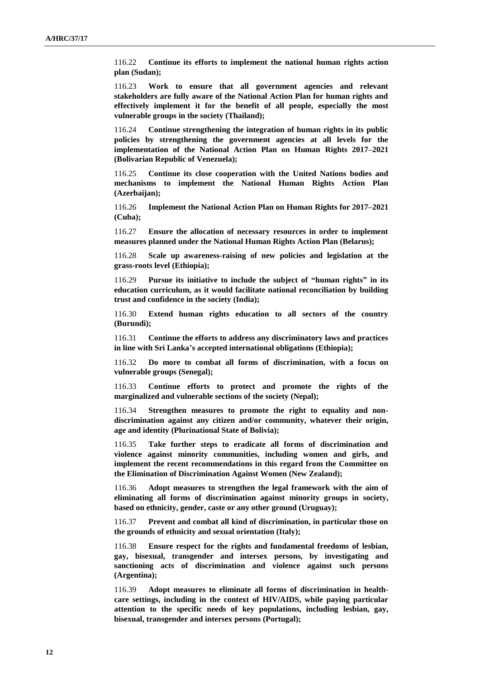116.22 **Continue its efforts to implement the national human rights action plan (Sudan);**

116.23 **Work to ensure that all government agencies and relevant stakeholders are fully aware of the National Action Plan for human rights and effectively implement it for the benefit of all people, especially the most vulnerable groups in the society (Thailand);**

116.24 **Continue strengthening the integration of human rights in its public policies by strengthening the government agencies at all levels for the implementation of the National Action Plan on Human Rights 2017–2021 (Bolivarian Republic of Venezuela);**

116.25 **Continue its close cooperation with the United Nations bodies and mechanisms to implement the National Human Rights Action Plan (Azerbaijan);**

116.26 **Implement the National Action Plan on Human Rights for 2017–2021 (Cuba);**

116.27 **Ensure the allocation of necessary resources in order to implement measures planned under the National Human Rights Action Plan (Belarus);**

116.28 **Scale up awareness-raising of new policies and legislation at the grass-roots level (Ethiopia);**

116.29 **Pursue its initiative to include the subject of "human rights" in its education curriculum, as it would facilitate national reconciliation by building trust and confidence in the society (India);**

116.30 **Extend human rights education to all sectors of the country (Burundi);**

116.31 **Continue the efforts to address any discriminatory laws and practices in line with Sri Lanka's accepted international obligations (Ethiopia);**

116.32 **Do more to combat all forms of discrimination, with a focus on vulnerable groups (Senegal);**

116.33 **Continue efforts to protect and promote the rights of the marginalized and vulnerable sections of the society (Nepal);**

116.34 **Strengthen measures to promote the right to equality and nondiscrimination against any citizen and/or community, whatever their origin, age and identity (Plurinational State of Bolivia);**

116.35 **Take further steps to eradicate all forms of discrimination and violence against minority communities, including women and girls, and implement the recent recommendations in this regard from the Committee on the Elimination of Discrimination Against Women (New Zealand);**

116.36 **Adopt measures to strengthen the legal framework with the aim of eliminating all forms of discrimination against minority groups in society, based on ethnicity, gender, caste or any other ground (Uruguay);**

116.37 **Prevent and combat all kind of discrimination, in particular those on the grounds of ethnicity and sexual orientation (Italy);**

116.38 **Ensure respect for the rights and fundamental freedoms of lesbian, gay, bisexual, transgender and intersex persons, by investigating and sanctioning acts of discrimination and violence against such persons (Argentina);**

116.39 **Adopt measures to eliminate all forms of discrimination in healthcare settings, including in the context of HIV/AIDS, while paying particular attention to the specific needs of key populations, including lesbian, gay, bisexual, transgender and intersex persons (Portugal);**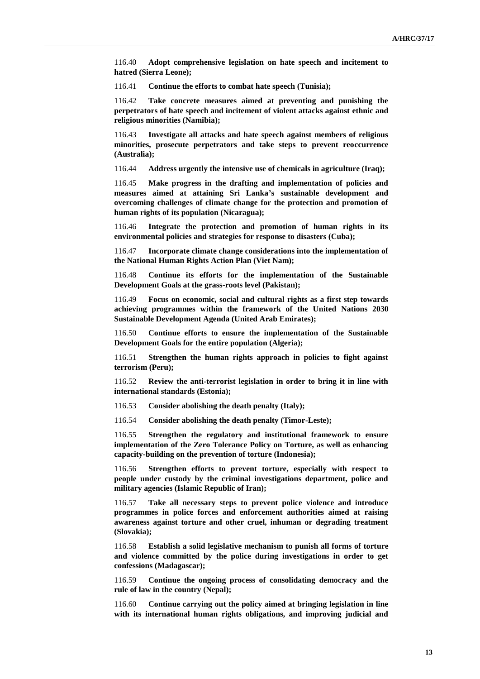116.40 **Adopt comprehensive legislation on hate speech and incitement to hatred (Sierra Leone);**

116.41 **Continue the efforts to combat hate speech (Tunisia);**

116.42 **Take concrete measures aimed at preventing and punishing the perpetrators of hate speech and incitement of violent attacks against ethnic and religious minorities (Namibia);**

116.43 **Investigate all attacks and hate speech against members of religious minorities, prosecute perpetrators and take steps to prevent reoccurrence (Australia);**

116.44 **Address urgently the intensive use of chemicals in agriculture (Iraq);**

116.45 **Make progress in the drafting and implementation of policies and measures aimed at attaining Sri Lanka's sustainable development and overcoming challenges of climate change for the protection and promotion of human rights of its population (Nicaragua);**

116.46 **Integrate the protection and promotion of human rights in its environmental policies and strategies for response to disasters (Cuba);**

116.47 **Incorporate climate change considerations into the implementation of the National Human Rights Action Plan (Viet Nam);**

116.48 **Continue its efforts for the implementation of the Sustainable Development Goals at the grass-roots level (Pakistan);**

116.49 **Focus on economic, social and cultural rights as a first step towards achieving programmes within the framework of the United Nations 2030 Sustainable Development Agenda (United Arab Emirates);**

116.50 **Continue efforts to ensure the implementation of the Sustainable Development Goals for the entire population (Algeria);**

116.51 **Strengthen the human rights approach in policies to fight against terrorism (Peru);**

116.52 **Review the anti-terrorist legislation in order to bring it in line with international standards (Estonia);**

116.53 **Consider abolishing the death penalty (Italy);**

116.54 **Consider abolishing the death penalty (Timor-Leste);**

116.55 **Strengthen the regulatory and institutional framework to ensure implementation of the Zero Tolerance Policy on Torture, as well as enhancing capacity-building on the prevention of torture (Indonesia);**

116.56 **Strengthen efforts to prevent torture, especially with respect to people under custody by the criminal investigations department, police and military agencies (Islamic Republic of Iran);**

116.57 **Take all necessary steps to prevent police violence and introduce programmes in police forces and enforcement authorities aimed at raising awareness against torture and other cruel, inhuman or degrading treatment (Slovakia);**

116.58 **Establish a solid legislative mechanism to punish all forms of torture and violence committed by the police during investigations in order to get confessions (Madagascar);**

116.59 **Continue the ongoing process of consolidating democracy and the rule of law in the country (Nepal);**

116.60 **Continue carrying out the policy aimed at bringing legislation in line with its international human rights obligations, and improving judicial and**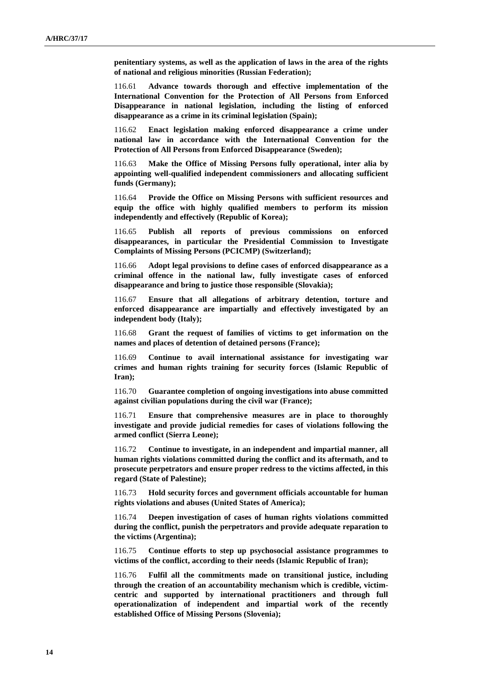**penitentiary systems, as well as the application of laws in the area of the rights of national and religious minorities (Russian Federation);**

116.61 **Advance towards thorough and effective implementation of the International Convention [for the Protection of All Persons from Enforced](http://www.ohchr.org/Documents/HRBodies/CED/OHCHR_Map_CPED.pdf)  [Disappearance](http://www.ohchr.org/Documents/HRBodies/CED/OHCHR_Map_CPED.pdf) in national legislation, including the listing of enforced disappearance as a crime in its criminal legislation (Spain);**

116.62 **Enact legislation making enforced disappearance a crime under national law in accordance with the International Convention for the Protection of All Persons from Enforced Disappearance (Sweden);**

116.63 **Make the Office of Missing Persons fully operational, inter alia by appointing well-qualified independent commissioners and allocating sufficient funds (Germany);**

116.64 **Provide the Office on Missing Persons with sufficient resources and equip the office with highly qualified members to perform its mission independently and effectively (Republic of Korea);**

116.65 **Publish all reports of previous commissions on enforced disappearances, in particular the Presidential Commission to Investigate Complaints of Missing Persons (PCICMP) (Switzerland);**

116.66 **Adopt legal provisions to define cases of enforced disappearance as a criminal offence in the national law, fully investigate cases of enforced disappearance and bring to justice those responsible (Slovakia);**

116.67 **Ensure that all allegations of arbitrary detention, torture and enforced disappearance are impartially and effectively investigated by an independent body (Italy);**

116.68 **Grant the request of families of victims to get information on the names and places of detention of detained persons (France);**

116.69 **Continue to avail international assistance for investigating war crimes and human rights training for security forces (Islamic Republic of Iran);**

116.70 **Guarantee completion of ongoing investigations into abuse committed against civilian populations during the civil war (France);**

116.71 **Ensure that comprehensive measures are in place to thoroughly investigate and provide judicial remedies for cases of violations following the armed conflict (Sierra Leone);**

116.72 **Continue to investigate, in an independent and impartial manner, all human rights violations committed during the conflict and its aftermath, and to prosecute perpetrators and ensure proper redress to the victims affected, in this regard (State of Palestine);**

116.73 **Hold security forces and government officials accountable for human rights violations and abuses (United States of America);**

116.74 **Deepen investigation of cases of human rights violations committed during the conflict, punish the perpetrators and provide adequate reparation to the victims (Argentina);**

116.75 **Continue efforts to step up psychosocial assistance programmes to victims of the conflict, according to their needs (Islamic Republic of Iran);**

116.76 **Fulfil all the commitments made on transitional justice, including through the creation of an accountability mechanism which is credible, victimcentric and supported by international practitioners and through full operationalization of independent and impartial work of the recently established Office of Missing Persons (Slovenia);**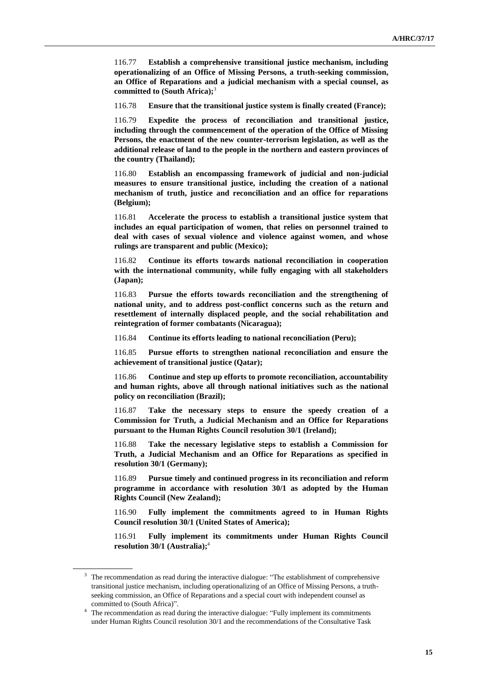116.77 **Establish a comprehensive transitional justice mechanism, including operationalizing of an Office of Missing Persons, a truth-seeking commission, an Office of Reparations and a judicial mechanism with a special counsel, as committed to (South Africa);**<sup>3</sup>

116.78 **Ensure that the transitional justice system is finally created (France);**

116.79 **Expedite the process of reconciliation and transitional justice, including through the commencement of the operation of the Office of Missing Persons, the enactment of the new counter-terrorism legislation, as well as the additional release of land to the people in the northern and eastern provinces of the country (Thailand);**

116.80 **Establish an encompassing framework of judicial and non-judicial measures to ensure transitional justice, including the creation of a national mechanism of truth, justice and reconciliation and an office for reparations (Belgium);**

116.81 **Accelerate the process to establish a transitional justice system that includes an equal participation of women, that relies on personnel trained to deal with cases of sexual violence and violence against women, and whose rulings are transparent and public (Mexico);**

116.82 **Continue its efforts towards national reconciliation in cooperation with the international community, while fully engaging with all stakeholders (Japan);**

116.83 **Pursue the efforts towards reconciliation and the strengthening of national unity, and to address post-conflict concerns such as the return and resettlement of internally displaced people, and the social rehabilitation and reintegration of former combatants (Nicaragua);**

116.84 **Continue its efforts leading to national reconciliation (Peru);**

116.85 **Pursue efforts to strengthen national reconciliation and ensure the achievement of transitional justice (Qatar);**

116.86 **Continue and step up efforts to promote reconciliation, accountability and human rights, above all through national initiatives such as the national policy on reconciliation (Brazil);**

116.87 **Take the necessary steps to ensure the speedy creation of a Commission for Truth, a Judicial Mechanism and an Office for Reparations pursuant to the Human Rights Council resolution 30/1 (Ireland);**

116.88 **Take the necessary legislative steps to establish a Commission for Truth, a Judicial Mechanism and an Office for Reparations as specified in resolution 30/1 (Germany);**

116.89 **Pursue timely and continued progress in its reconciliation and reform programme in accordance with resolution 30/1 as adopted by the Human Rights Council (New Zealand);**

116.90 **Fully implement the commitments agreed to in Human Rights Council resolution 30/1 (United States of America);**

116.91 **Fully implement its commitments under Human Rights Council resolution 30/1 (Australia);**<sup>4</sup>

<sup>&</sup>lt;sup>3</sup> The recommendation as read during the interactive dialogue: "The establishment of comprehensive transitional justice mechanism, including operationalizing of an Office of Missing Persons, a truthseeking commission, an Office of Reparations and a special court with independent counsel as committed to (South Africa)".

<sup>4</sup> The recommendation as read during the interactive dialogue: "Fully implement its commitments under Human Rights Council resolution 30/1 and the recommendations of the Consultative Task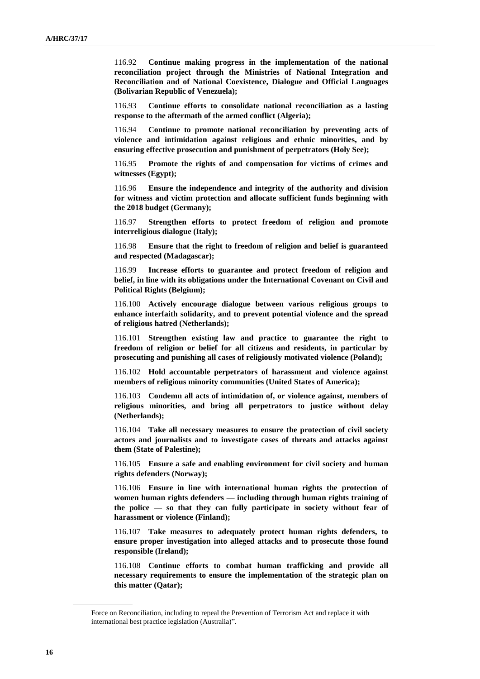116.92 **Continue making progress in the implementation of the national reconciliation project through the Ministries of National Integration and Reconciliation and of National Coexistence, Dialogue and Official Languages (Bolivarian Republic of Venezuela);**

116.93 **Continue efforts to consolidate national reconciliation as a lasting response to the aftermath of the armed conflict (Algeria);**

116.94 **Continue to promote national reconciliation by preventing acts of violence and intimidation against religious and ethnic minorities, and by ensuring effective prosecution and punishment of perpetrators (Holy See);**

116.95 **Promote the rights of and compensation for victims of crimes and witnesses (Egypt);**

116.96 **Ensure the independence and integrity of the authority and division for witness and victim protection and allocate sufficient funds beginning with the 2018 budget (Germany);**

116.97 **Strengthen efforts to protect freedom of religion and promote interreligious dialogue (Italy);**

116.98 **Ensure that the right to freedom of religion and belief is guaranteed and respected (Madagascar);**

116.99 **Increase efforts to guarantee and protect freedom of religion and belief, in line with its obligations under the International Covenant on Civil and Political Rights (Belgium);**

116.100 **Actively encourage dialogue between various religious groups to enhance interfaith solidarity, and to prevent potential violence and the spread of religious hatred (Netherlands);**

116.101 **Strengthen existing law and practice to guarantee the right to freedom of religion or belief for all citizens and residents, in particular by prosecuting and punishing all cases of religiously motivated violence (Poland);**

116.102 **Hold accountable perpetrators of harassment and violence against members of religious minority communities (United States of America);**

116.103 **Condemn all acts of intimidation of, or violence against, members of religious minorities, and bring all perpetrators to justice without delay (Netherlands);**

116.104 **Take all necessary measures to ensure the protection of civil society actors and journalists and to investigate cases of threats and attacks against them (State of Palestine);**

116.105 **Ensure a safe and enabling environment for civil society and human rights defenders (Norway);**

116.106 **Ensure in line with international human rights the protection of women human rights defenders — including through human rights training of the police — so that they can fully participate in society without fear of harassment or violence (Finland);**

116.107 **Take measures to adequately protect human rights defenders, to ensure proper investigation into alleged attacks and to prosecute those found responsible (Ireland);**

116.108 **Continue efforts to combat human trafficking and provide all necessary requirements to ensure the implementation of the strategic plan on this matter (Qatar);**

Force on Reconciliation, including to repeal the Prevention of Terrorism Act and replace it with international best practice legislation (Australia)".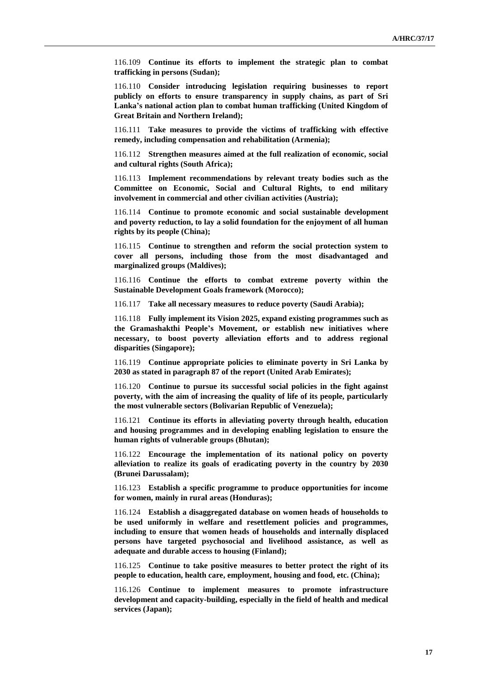116.109 **Continue its efforts to implement the strategic plan to combat trafficking in persons (Sudan);**

116.110 **Consider introducing legislation requiring businesses to report publicly on efforts to ensure transparency in supply chains, as part of Sri Lanka's national action plan to combat human trafficking (United Kingdom of Great Britain and Northern Ireland);**

116.111 **Take measures to provide the victims of trafficking with effective remedy, including compensation and rehabilitation (Armenia);**

116.112 **Strengthen measures aimed at the full realization of economic, social and cultural rights (South Africa);**

116.113 **Implement recommendations by relevant treaty bodies such as the Committee on Economic, Social and Cultural Rights, to end military involvement in commercial and other civilian activities (Austria);**

116.114 **Continue to promote economic and social sustainable development and poverty reduction, to lay a solid foundation for the enjoyment of all human rights by its people (China);**

116.115 **Continue to strengthen and reform the social protection system to cover all persons, including those from the most disadvantaged and marginalized groups (Maldives);**

116.116 **Continue the efforts to combat extreme poverty within the Sustainable Development Goals framework (Morocco);**

116.117 **Take all necessary measures to reduce poverty (Saudi Arabia);**

116.118 **Fully implement its Vision 2025, expand existing programmes such as the Gramashakthi People's Movement, or establish new initiatives where necessary, to boost poverty alleviation efforts and to address regional disparities (Singapore);**

116.119 **Continue appropriate policies to eliminate poverty in Sri Lanka by 2030 as stated in paragraph 87 of the report (United Arab Emirates);**

116.120 **Continue to pursue its successful social policies in the fight against poverty, with the aim of increasing the quality of life of its people, particularly the most vulnerable sectors (Bolivarian Republic of Venezuela);**

116.121 **Continue its efforts in alleviating poverty through health, education and housing programmes and in developing enabling legislation to ensure the human rights of vulnerable groups (Bhutan);**

116.122 **Encourage the implementation of its national policy on poverty alleviation to realize its goals of eradicating poverty in the country by 2030 (Brunei Darussalam);**

116.123 **Establish a specific programme to produce opportunities for income for women, mainly in rural areas (Honduras);**

116.124 **Establish a disaggregated database on women heads of households to be used uniformly in welfare and resettlement policies and programmes, including to ensure that women heads of households and internally displaced persons have targeted psychosocial and livelihood assistance, as well as adequate and durable access to housing (Finland);**

116.125 **Continue to take positive measures to better protect the right of its people to education, health care, employment, housing and food, etc. (China);**

116.126 **Continue to implement measures to promote infrastructure development and capacity-building, especially in the field of health and medical services (Japan);**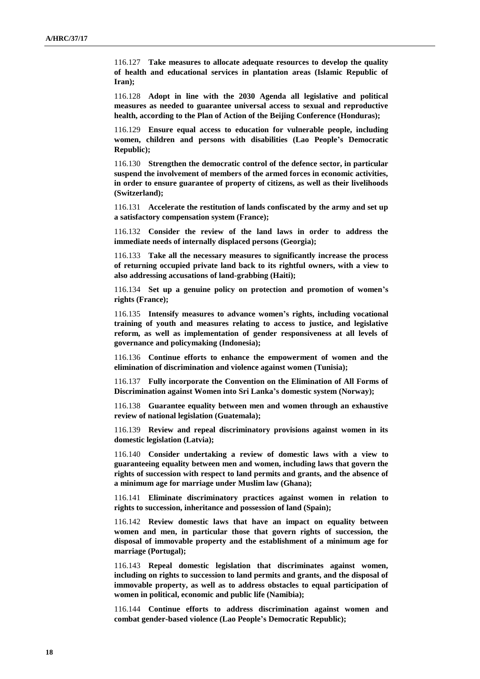116.127 **Take measures to allocate adequate resources to develop the quality of health and educational services in plantation areas (Islamic Republic of Iran);**

116.128 **Adopt in line with the 2030 Agenda all legislative and political measures as needed to guarantee universal access to sexual and reproductive health, according to the Plan of Action of the Beijing Conference (Honduras);**

116.129 **Ensure equal access to education for vulnerable people, including women, children and persons with disabilities (Lao People's Democratic Republic);**

116.130 **Strengthen the democratic control of the defence sector, in particular suspend the involvement of members of the armed forces in economic activities, in order to ensure guarantee of property of citizens, as well as their livelihoods (Switzerland);**

116.131 **Accelerate the restitution of lands confiscated by the army and set up a satisfactory compensation system (France);**

116.132 **Consider the review of the land laws in order to address the immediate needs of internally displaced persons (Georgia);**

116.133 **Take all the necessary measures to significantly increase the process of returning occupied private land back to its rightful owners, with a view to also addressing accusations of land-grabbing (Haiti);**

116.134 **Set up a genuine policy on protection and promotion of women's rights (France);**

116.135 **Intensify measures to advance women's rights, including vocational training of youth and measures relating to access to justice, and legislative reform, as well as implementation of gender responsiveness at all levels of governance and policymaking (Indonesia);**

116.136 **Continue efforts to enhance the empowerment of women and the elimination of discrimination and violence against women (Tunisia);**

116.137 **Fully incorporate the Convention on the Elimination of All Forms of Discrimination against Women into Sri Lanka's domestic system (Norway);**

116.138 **Guarantee equality between men and women through an exhaustive review of national legislation (Guatemala);**

116.139 **Review and repeal discriminatory provisions against women in its domestic legislation (Latvia);**

116.140 **Consider undertaking a review of domestic laws with a view to guaranteeing equality between men and women, including laws that govern the rights of succession with respect to land permits and grants, and the absence of a minimum age for marriage under Muslim law (Ghana);**

116.141 **Eliminate discriminatory practices against women in relation to rights to succession, inheritance and possession of land (Spain);**

116.142 **Review domestic laws that have an impact on equality between women and men, in particular those that govern rights of succession, the disposal of immovable property and the establishment of a minimum age for marriage (Portugal);**

116.143 **Repeal domestic legislation that discriminates against women, including on rights to succession to land permits and grants, and the disposal of immovable property, as well as to address obstacles to equal participation of women in political, economic and public life (Namibia);**

116.144 **Continue efforts to address discrimination against women and combat gender-based violence (Lao People's Democratic Republic);**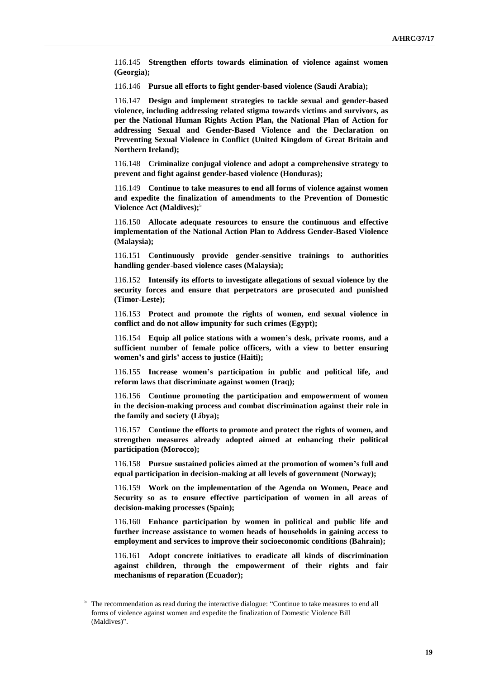116.145 **Strengthen efforts towards elimination of violence against women (Georgia);**

116.146 **Pursue all efforts to fight gender-based violence (Saudi Arabia);**

116.147 **Design and implement strategies to tackle sexual and gender-based violence, including addressing related stigma towards victims and survivors, as per the National Human Rights Action Plan, the National Plan of Action for addressing Sexual and Gender-Based Violence and the Declaration on Preventing Sexual Violence in Conflict (United Kingdom of Great Britain and Northern Ireland);**

116.148 **Criminalize conjugal violence and adopt a comprehensive strategy to prevent and fight against gender-based violence (Honduras);**

116.149 **Continue to take measures to end all forms of violence against women and expedite the finalization of amendments to the Prevention of Domestic Violence Act (Maldives);**<sup>5</sup>

116.150 **Allocate adequate resources to ensure the continuous and effective implementation of the National Action Plan to Address Gender-Based Violence (Malaysia);**

116.151 **Continuously provide gender-sensitive trainings to authorities handling gender-based violence cases (Malaysia);**

116.152 **Intensify its efforts to investigate allegations of sexual violence by the security forces and ensure that perpetrators are prosecuted and punished (Timor-Leste);**

116.153 **Protect and promote the rights of women, end sexual violence in conflict and do not allow impunity for such crimes (Egypt);**

116.154 **Equip all police stations with a women's desk, private rooms, and a sufficient number of female police officers, with a view to better ensuring women's and girls' access to justice (Haiti);**

116.155 **Increase women's participation in public and political life, and reform laws that discriminate against women (Iraq);**

116.156 **Continue promoting the participation and empowerment of women in the decision-making process and combat discrimination against their role in the family and society (Libya);**

116.157 **Continue the efforts to promote and protect the rights of women, and strengthen measures already adopted aimed at enhancing their political participation (Morocco);**

116.158 **Pursue sustained policies aimed at the promotion of women's full and equal participation in decision-making at all levels of government (Norway);**

116.159 **Work on the implementation of the Agenda on Women, Peace and Security so as to ensure effective participation of women in all areas of decision-making processes (Spain);**

116.160 **Enhance participation by women in political and public life and further increase assistance to women heads of households in gaining access to employment and services to improve their socioeconomic conditions (Bahrain);**

116.161 **Adopt concrete initiatives to eradicate all kinds of discrimination against children, through the empowerment of their rights and fair mechanisms of reparation (Ecuador);**

<sup>&</sup>lt;sup>5</sup> The recommendation as read during the interactive dialogue: "Continue to take measures to end all forms of violence against women and expedite the finalization of Domestic Violence Bill (Maldives)".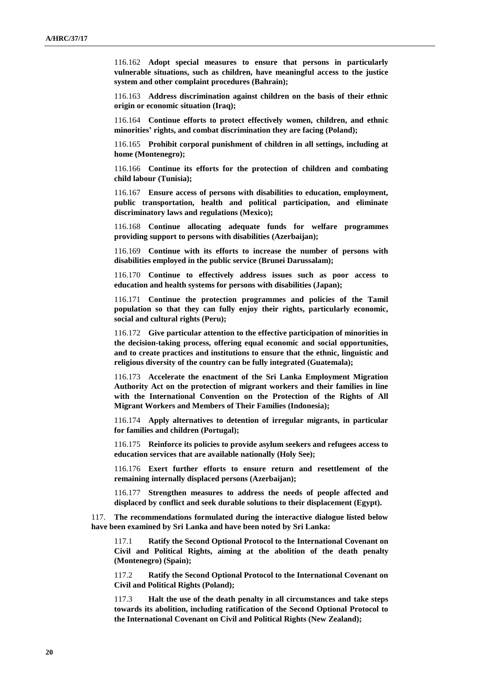116.162 **Adopt special measures to ensure that persons in particularly vulnerable situations, such as children, have meaningful access to the justice system and other complaint procedures (Bahrain);**

116.163 **Address discrimination against children on the basis of their ethnic origin or economic situation (Iraq);**

116.164 **Continue efforts to protect effectively women, children, and ethnic minorities' rights, and combat discrimination they are facing (Poland);**

116.165 **Prohibit corporal punishment of children in all settings, including at home (Montenegro);**

116.166 **Continue its efforts for the protection of children and combating child labour (Tunisia);**

116.167 **Ensure access of persons with disabilities to education, employment, public transportation, health and political participation, and eliminate discriminatory laws and regulations (Mexico);**

116.168 **Continue allocating adequate funds for welfare programmes providing support to persons with disabilities (Azerbaijan);**

116.169 **Continue with its efforts to increase the number of persons with disabilities employed in the public service (Brunei Darussalam);**

116.170 **Continue to effectively address issues such as poor access to education and health systems for persons with disabilities (Japan);**

116.171 **Continue the protection programmes and policies of the Tamil population so that they can fully enjoy their rights, particularly economic, social and cultural rights (Peru);**

116.172 **Give particular attention to the effective participation of minorities in the decision-taking process, offering equal economic and social opportunities, and to create practices and institutions to ensure that the ethnic, linguistic and religious diversity of the country can be fully integrated (Guatemala);**

116.173 **Accelerate the enactment of the Sri Lanka Employment Migration Authority Act on the protection of migrant workers and their families in line with the International Convention on the Protection of the Rights of All Migrant Workers and Members of Their Families (Indonesia);**

116.174 **Apply alternatives to detention of irregular migrants, in particular for families and children (Portugal);**

116.175 **Reinforce its policies to provide asylum seekers and refugees access to education services that are available nationally (Holy See);**

116.176 **Exert further efforts to ensure return and resettlement of the remaining internally displaced persons (Azerbaijan);**

116.177 **Strengthen measures to address the needs of people affected and displaced by conflict and seek durable solutions to their displacement (Egypt).**

117. **The recommendations formulated during the interactive dialogue listed below have been examined by Sri Lanka and have been noted by Sri Lanka:**

117.1 **Ratify the Second Optional Protocol to the [International Covenant on](http://www.ohchr.org/EN/ProfessionalInterest/Pages/CCPR.aspx)  [Civil and Political](http://www.ohchr.org/EN/ProfessionalInterest/Pages/CCPR.aspx) Rights, aiming at the abolition of the death penalty (Montenegro) (Spain);**

117.2 **Ratify the Second Optional Protocol to the International Covenant on Civil and Political Rights (Poland);**

117.3 **Halt the use of the death penalty in all circumstances and take steps towards its abolition, including ratification of the Second Optional Protocol to the International Covenant on Civil and Political Rights (New Zealand);**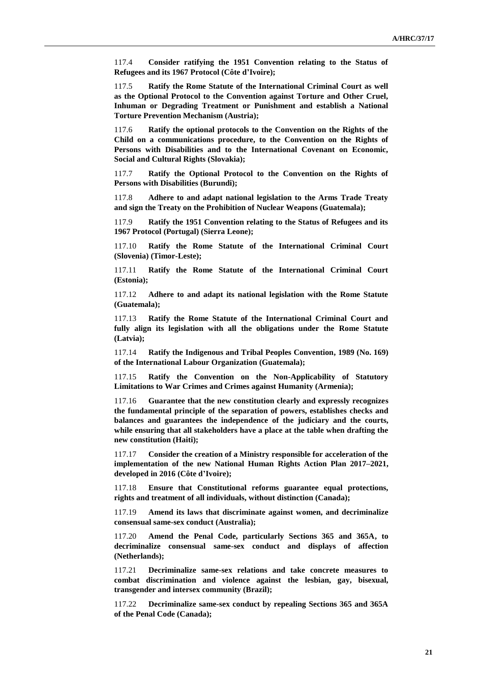117.4 **Consider ratifying the 1951 Convention relating to the Status of Refugees and its 1967 Protocol (Côte d'Ivoire);**

117.5 **Ratify the Rome Statute of the International Criminal Court as well as the Optional Protocol to the Convention against Torture and Other Cruel, Inhuman or Degrading Treatment or Punishment and establish a National Torture Prevention Mechanism (Austria);**

117.6 **Ratify the optional protocols to the Convention on the Rights of the Child on a communications procedure, to the Convention on the Rights of Persons with Disabilities and to the International Covenant on Economic, Social and Cultural Rights (Slovakia);**

117.7 **Ratify the Optional Protocol to the Convention on the Rights of Persons with Disabilities (Burundi);**

117.8 **Adhere to and adapt national legislation to the Arms Trade Treaty and sign the Treaty on the Prohibition of Nuclear Weapons (Guatemala);**

117.9 **Ratify the 1951 Convention relating to the Status of Refugees and its 1967 Protocol (Portugal) (Sierra Leone);**

117.10 **Ratify the Rome Statute of the International Criminal Court (Slovenia) (Timor-Leste);**

117.11 **Ratify the Rome Statute of the International Criminal Court (Estonia);**

117.12 **Adhere to and adapt its national legislation with the Rome Statute (Guatemala);**

117.13 **Ratify the Rome Statute of the International Criminal Court and fully align its legislation with all the obligations under the Rome Statute (Latvia);**

117.14 **Ratify the Indigenous and Tribal Peoples Convention, 1989 (No. 169) of the International Labour Organization (Guatemala);**

117.15 **Ratify the Convention on the Non-Applicability of Statutory Limitations to War Crimes and Crimes against Humanity (Armenia);**

117.16 **Guarantee that the new constitution clearly and expressly recognizes the fundamental principle of the separation of powers, establishes checks and balances and guarantees the independence of the judiciary and the courts, while ensuring that all stakeholders have a place at the table when drafting the new constitution (Haiti);**

117.17 **Consider the creation of a Ministry responsible for acceleration of the implementation of the new National Human Rights Action Plan 2017–2021, developed in 2016 (Côte d'Ivoire);**

117.18 **Ensure that Constitutional reforms guarantee equal protections, rights and treatment of all individuals, without distinction (Canada);**

117.19 **Amend its laws that discriminate against women, and decriminalize consensual same-sex conduct (Australia);**

117.20 **Amend the Penal Code, particularly Sections 365 and 365A, to decriminalize consensual same-sex conduct and displays of affection (Netherlands);**

117.21 **Decriminalize same-sex relations and take concrete measures to combat discrimination and violence against the lesbian, gay, bisexual, transgender and intersex community (Brazil);**

117.22 **Decriminalize same-sex conduct by repealing Sections 365 and 365A of the Penal Code (Canada);**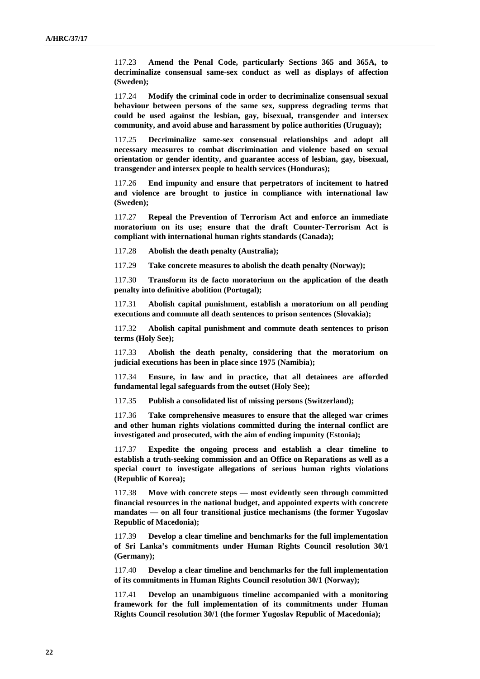117.23 **Amend the Penal Code, particularly Sections 365 and 365A, to decriminalize consensual same-sex conduct as well as displays of affection (Sweden);**

117.24 **Modify the criminal code in order to decriminalize consensual sexual behaviour between persons of the same sex, suppress degrading terms that could be used against the lesbian, gay, bisexual, transgender and intersex community, and avoid abuse and harassment by police authorities (Uruguay);**

117.25 **Decriminalize same-sex consensual relationships and adopt all necessary measures to combat discrimination and violence based on sexual orientation or gender identity, and guarantee access of lesbian, gay, bisexual, transgender and intersex people to health services (Honduras);**

117.26 **End impunity and ensure that perpetrators of incitement to hatred and violence are brought to justice in compliance with international law (Sweden);**

117.27 **Repeal the Prevention of Terrorism Act and enforce an immediate moratorium on its use; ensure that the draft Counter-Terrorism Act is compliant with international human rights standards (Canada);**

117.28 **Abolish the death penalty (Australia);**

117.29 **Take concrete measures to abolish the death penalty (Norway);**

117.30 **Transform its de facto moratorium on the application of the death penalty into definitive abolition (Portugal);**

117.31 **Abolish capital punishment, establish a moratorium on all pending executions and commute all death sentences to prison sentences (Slovakia);**

117.32 **Abolish capital punishment and commute death sentences to prison terms (Holy See);**

117.33 **Abolish the death penalty, considering that the moratorium on judicial executions has been in place since 1975 (Namibia);**

117.34 **Ensure, in law and in practice, that all detainees are afforded fundamental legal safeguards from the outset (Holy See);**

117.35 **Publish a consolidated list of missing persons (Switzerland);**

117.36 **Take comprehensive measures to ensure that the alleged war crimes and other human rights violations committed during the internal conflict are investigated and prosecuted, with the aim of ending impunity (Estonia);**

117.37 **Expedite the ongoing process and establish a clear timeline to establish a truth-seeking commission and an Office on Reparations as well as a special court to investigate allegations of serious human rights violations (Republic of Korea);**

117.38 **Move with concrete steps — most evidently seen through committed financial resources in the national budget, and appointed experts with concrete mandates — on all four transitional justice mechanisms (the former Yugoslav Republic of Macedonia);**

117.39 **Develop a clear timeline and benchmarks for the full implementation of Sri Lanka's commitments under Human Rights Council resolution 30/1 (Germany);**

117.40 **Develop a clear timeline and benchmarks for the full implementation of its commitments in Human Rights Council resolution 30/1 (Norway);**

117.41 **Develop an unambiguous timeline accompanied with a monitoring framework for the full implementation of its commitments under Human Rights Council resolution 30/1 (the former Yugoslav Republic of Macedonia);**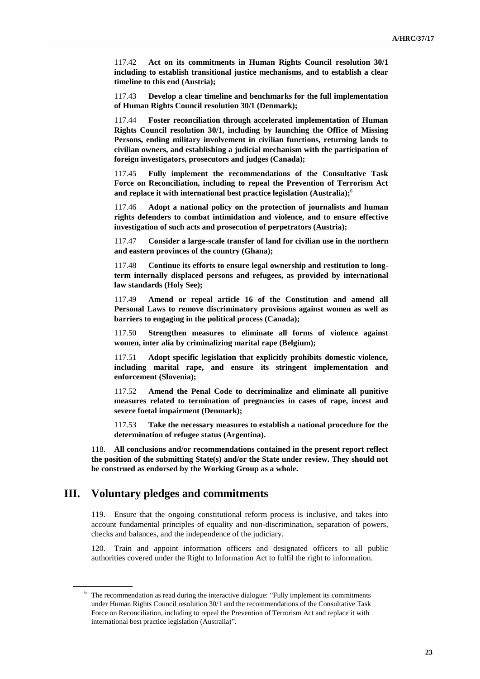117.42 **Act on its commitments in Human Rights Council resolution 30/1 including to establish transitional justice mechanisms, and to establish a clear timeline to this end (Austria);**

117.43 **Develop a clear timeline and benchmarks for the full implementation of Human Rights Council resolution 30/1 (Denmark);**

117.44 **Foster reconciliation through accelerated implementation of Human Rights Council resolution 30/1, including by launching the Office of Missing Persons, ending military involvement in civilian functions, returning lands to civilian owners, and establishing a judicial mechanism with the participation of foreign investigators, prosecutors and judges (Canada);**

117.45 **Fully implement the recommendations of the Consultative Task Force on Reconciliation, including to repeal the Prevention of Terrorism Act and replace it with international best practice legislation (Australia);**<sup>6</sup>

117.46 **Adopt a national policy on the protection of journalists and human rights defenders to combat intimidation and violence, and to ensure effective investigation of such acts and prosecution of perpetrators (Austria);**

117.47 **Consider a large-scale transfer of land for civilian use in the northern and eastern provinces of the country (Ghana);**

117.48 **Continue its efforts to ensure legal ownership and restitution to longterm internally displaced persons and refugees, as provided by international law standards (Holy See);**

117.49 **Amend or repeal article 16 of the Constitution and amend all Personal Laws to remove discriminatory provisions against women as well as barriers to engaging in the political process (Canada);**

117.50 **Strengthen measures to eliminate all forms of violence against women, inter alia by criminalizing marital rape (Belgium);**

117.51 **Adopt specific legislation that explicitly prohibits domestic violence, including marital rape, and ensure its stringent implementation and enforcement (Slovenia);**

117.52 **Amend the Penal Code to decriminalize and eliminate all punitive measures related to termination of pregnancies in cases of rape, incest and severe foetal impairment (Denmark);**

117.53 **Take the necessary measures to establish a national procedure for the determination of refugee status (Argentina).**

118. **All conclusions and/or recommendations contained in the present report reflect the position of the submitting State(s) and/or the State under review. They should not be construed as endorsed by the Working Group as a whole.**

## **III. Voluntary pledges and commitments**

119. Ensure that the ongoing constitutional reform process is inclusive, and takes into account fundamental principles of equality and non-discrimination, separation of powers, checks and balances, and the independence of the judiciary.

120. Train and appoint information officers and designated officers to all public authorities covered under the Right to Information Act to fulfil the right to information.

<sup>6</sup> The recommendation as read during the interactive dialogue: "Fully implement its commitments under Human Rights Council resolution 30/1 and the recommendations of the Consultative Task Force on Reconciliation, including to repeal the Prevention of Terrorism Act and replace it with international best practice legislation (Australia)".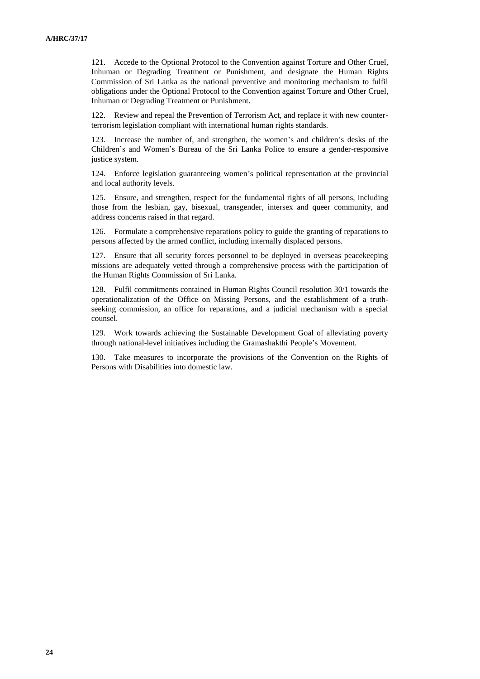121. Accede to the Optional Protocol to the Convention against Torture and Other Cruel, Inhuman or Degrading Treatment or Punishment, and designate the Human Rights Commission of Sri Lanka as the national preventive and monitoring mechanism to fulfil obligations under the Optional Protocol to the Convention against Torture and Other Cruel, Inhuman or Degrading Treatment or Punishment.

122. Review and repeal the Prevention of Terrorism Act, and replace it with new counterterrorism legislation compliant with international human rights standards.

123. Increase the number of, and strengthen, the women's and children's desks of the Children's and Women's Bureau of the Sri Lanka Police to ensure a gender-responsive justice system.

124. Enforce legislation guaranteeing women's political representation at the provincial and local authority levels.

125. Ensure, and strengthen, respect for the fundamental rights of all persons, including those from the lesbian, gay, bisexual, transgender, intersex and queer community, and address concerns raised in that regard.

126. Formulate a comprehensive reparations policy to guide the granting of reparations to persons affected by the armed conflict, including internally displaced persons.

Ensure that all security forces personnel to be deployed in overseas peacekeeping missions are adequately vetted through a comprehensive process with the participation of the Human Rights Commission of Sri Lanka.

128. Fulfil commitments contained in Human Rights Council resolution 30/1 towards the operationalization of the Office on Missing Persons, and the establishment of a truthseeking commission, an office for reparations, and a judicial mechanism with a special counsel.

129. Work towards achieving the Sustainable Development Goal of alleviating poverty through national-level initiatives including the Gramashakthi People's Movement.

130. Take measures to incorporate the provisions of the Convention on the Rights of Persons with Disabilities into domestic law.